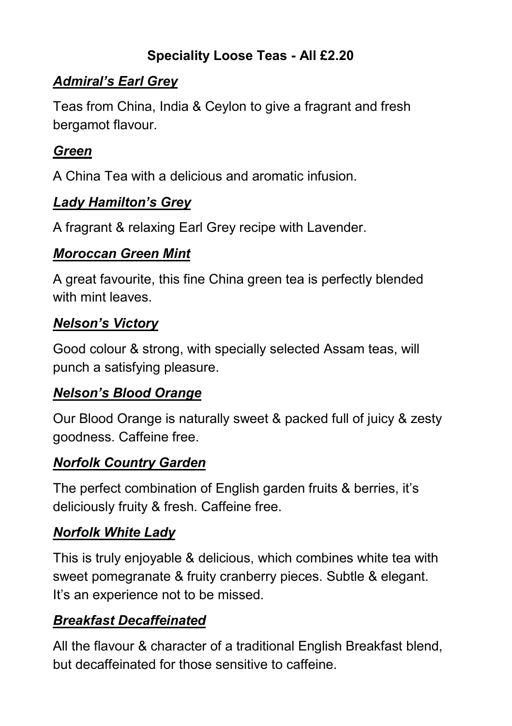## **Speciality Loose Teas - All £2.20**

## *Admiral's Earl Grey*

Teas from China, India & Ceylon to give a fragrant and fresh bergamot flavour.

## *Green*

A China Tea with a delicious and aromatic infusion.

## *Lady Hamilton's Grey*

A fragrant & relaxing Earl Grey recipe with Lavender.

### *Moroccan Green Mint*

A great favourite, this fine China green tea is perfectly blended with mint leaves

### *Nelson's Victory*

Good colour & strong, with specially selected Assam teas, will punch a satisfying pleasure.

### *Nelson's Blood Orange*

Our Blood Orange is naturally sweet & packed full of juicy & zesty goodness. Caffeine free.

### *Norfolk Country Garden*

The perfect combination of English garden fruits & berries, it's deliciously fruity & fresh. Caffeine free.

## *Norfolk White Lady*

This is truly enjoyable & delicious, which combines white tea with sweet pomegranate & fruity cranberry pieces. Subtle & elegant. It's an experience not to be missed.

## *Breakfast Decaffeinated*

All the flavour & character of a traditional English Breakfast blend, but decaffeinated for those sensitive to caffeine.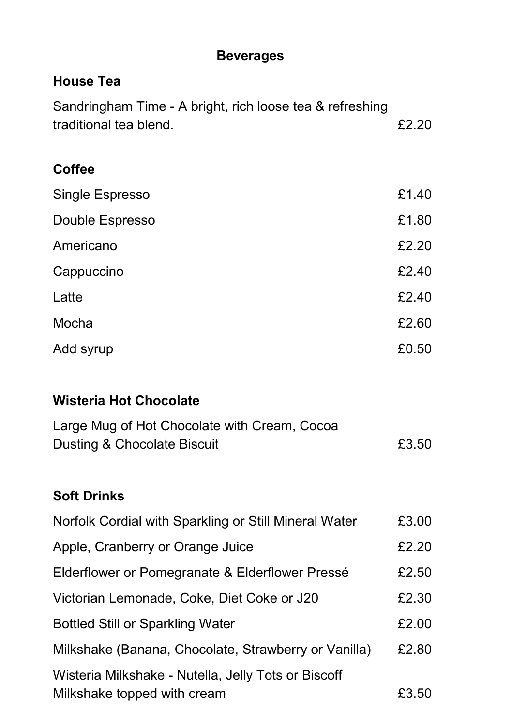## **Beverages**

## **House Tea**

| Sandringham Time - A bright, rich loose tea & refreshing |       |
|----------------------------------------------------------|-------|
| traditional tea blend.                                   | £2.20 |
| <b>Coffee</b>                                            |       |
| Single Espresso                                          | £1.40 |
| Double Espresso                                          | £1.80 |
| Americano                                                | £2.20 |
| Cappuccino                                               | £2.40 |
| Latte                                                    | £2.40 |
| Mocha                                                    | £2.60 |
| Add syrup                                                | £0.50 |
|                                                          |       |
| <b>Wisteria Hot Chocolate</b>                            |       |
| Large Mug of Hot Chocolate with Cream, Cocoa             |       |
| Dusting & Chocolate Biscuit                              | £3.50 |
|                                                          |       |
| <b>Soft Drinks</b>                                       |       |
| Norfolk Cordial with Sparkling or Still Mineral Water    | £3.00 |
| Apple, Cranberry or Orange Juice                         | £2.20 |
| Elderflower or Pomegranate & Elderflower Pressé          | £2.50 |
| Victorian Lemonade, Coke, Diet Coke or J20               | £2.30 |
| <b>Bottled Still or Sparkling Water</b>                  | £2.00 |
| Milkshake (Banana, Chocolate, Strawberry or Vanilla)     | £2.80 |
| Wisteria Milkshake - Nutella, Jelly Tots or Biscoff      |       |
| Milkshake topped with cream                              | £3.50 |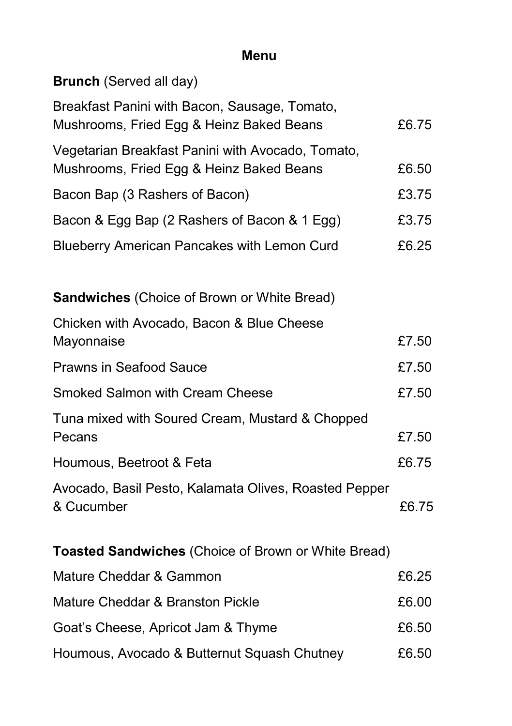# **Menu**

**Brunch** (Served all day)

| Breakfast Panini with Bacon, Sausage, Tomato,<br>Mushrooms, Fried Egg & Heinz Baked Beans     | £6.75 |
|-----------------------------------------------------------------------------------------------|-------|
| Vegetarian Breakfast Panini with Avocado, Tomato,<br>Mushrooms, Fried Egg & Heinz Baked Beans | £6.50 |
| Bacon Bap (3 Rashers of Bacon)                                                                | £3.75 |
| Bacon & Egg Bap (2 Rashers of Bacon & 1 Egg)                                                  | £3.75 |
| <b>Blueberry American Pancakes with Lemon Curd</b>                                            | £6.25 |
| <b>Sandwiches</b> (Choice of Brown or White Bread)                                            |       |
| Chicken with Avocado, Bacon & Blue Cheese<br>Mayonnaise                                       | £7.50 |
| <b>Prawns in Seafood Sauce</b>                                                                | £7.50 |
| <b>Smoked Salmon with Cream Cheese</b>                                                        | £7.50 |
| Tuna mixed with Soured Cream, Mustard & Chopped<br>Pecans                                     | £7.50 |
| Houmous, Beetroot & Feta                                                                      | £6.75 |
| Avocado, Basil Pesto, Kalamata Olives, Roasted Pepper<br>& Cucumber                           | £6.75 |
| <b>Toasted Sandwiches (Choice of Brown or White Bread)</b>                                    |       |
| Mature Cheddar & Gammon                                                                       | £6.25 |
| Mature Cheddar & Branston Pickle                                                              | £6.00 |
| Goat's Cheese, Apricot Jam & Thyme                                                            | £6.50 |
| Houmous, Avocado & Butternut Squash Chutney                                                   | £6.50 |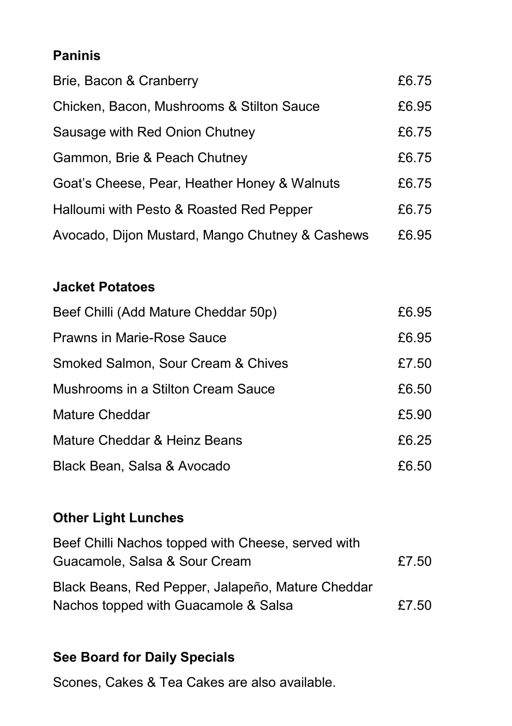## **Paninis**

| Brie, Bacon & Cranberry                         | £6.75 |
|-------------------------------------------------|-------|
| Chicken, Bacon, Mushrooms & Stilton Sauce       | £6.95 |
| Sausage with Red Onion Chutney                  | £6.75 |
| Gammon, Brie & Peach Chutney                    | £6.75 |
| Goat's Cheese, Pear, Heather Honey & Walnuts    | £6.75 |
| Halloumi with Pesto & Roasted Red Pepper        | £6.75 |
| Avocado, Dijon Mustard, Mango Chutney & Cashews | £6.95 |

## **Jacket Potatoes**

| Beef Chilli (Add Mature Cheddar 50p) | £6.95 |
|--------------------------------------|-------|
| Prawns in Marie-Rose Sauce           | £6.95 |
| Smoked Salmon, Sour Cream & Chives   | £7.50 |
| Mushrooms in a Stilton Cream Sauce   | £6.50 |
| Mature Cheddar                       | £5.90 |
| Mature Cheddar & Heinz Beans         | £6.25 |
| Black Bean, Salsa & Avocado          | £6.50 |

## **Other Light Lunches**

| Beef Chilli Nachos topped with Cheese, served with |       |
|----------------------------------------------------|-------|
| Guacamole, Salsa & Sour Cream                      | £7.50 |
| Black Beans, Red Pepper, Jalapeño, Mature Cheddar  |       |
| Nachos topped with Guacamole & Salsa               | £7.50 |

## **See Board for Daily Specials**

Scones, Cakes & Tea Cakes are also available.